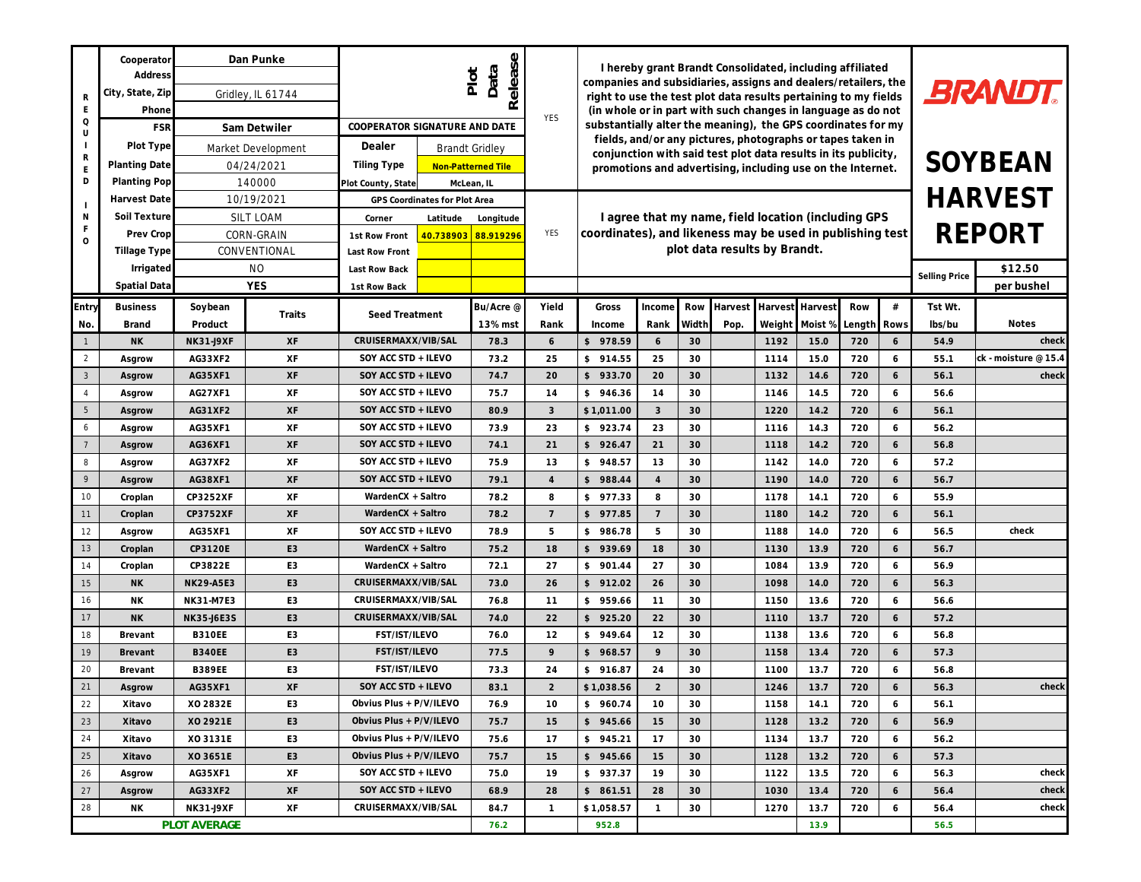| R<br>F<br>Q<br>U<br>R<br>E<br>D | Cooperator<br>Address<br>City, State, Zip<br>Phone<br><b>FSR</b><br>Plot Type | Dan Punke<br>Gridley, IL 61744<br>Sam Detwiler<br>Market Development |        | Release<br>Data<br>Plot<br>COOPERATOR SIGNATURE AND DATE<br>Dealer<br><b>Brandt Gridley</b> |              | <b>YES</b>     | I hereby grant Brandt Consolidated, including affiliated<br>companies and subsidiaries, assigns and dealers/retailers, the<br>right to use the test plot data results pertaining to my fields<br>(in whole or in part with such changes in language as do not<br>substantially alter the meaning), the GPS coordinates for my<br>fields, and/or any pictures, photographs or tapes taken in |                    |          |         |              |                          | <b>BRANDT.</b><br>SOYBEAN |                |              |                      |
|---------------------------------|-------------------------------------------------------------------------------|----------------------------------------------------------------------|--------|---------------------------------------------------------------------------------------------|--------------|----------------|---------------------------------------------------------------------------------------------------------------------------------------------------------------------------------------------------------------------------------------------------------------------------------------------------------------------------------------------------------------------------------------------|--------------------|----------|---------|--------------|--------------------------|---------------------------|----------------|--------------|----------------------|
|                                 | Planting Date<br>Planting Pop                                                 | 04/24/2021<br>140000                                                 |        | Tiling Type<br>Non-Patterned Tile<br>Plot County, State<br>McLean, IL                       |              |                | conjunction with said test plot data results in its publicity,<br>promotions and advertising, including use on the Internet.                                                                                                                                                                                                                                                                |                    |          |         |              |                          |                           |                |              |                      |
|                                 | Harvest Date                                                                  | 10/19/2021                                                           |        | GPS Coordinates for Plot Area                                                               |              | YES            | I agree that my name, field location (including GPS<br>coordinates), and likeness may be used in publishing test                                                                                                                                                                                                                                                                            |                    |          |         |              |                          |                           | <b>HARVEST</b> |              |                      |
| Ν<br>$\circ$                    | Soil Texture<br>Prev Crop                                                     | SILT LOAM<br>CORN-GRAIN                                              |        | Corner<br>Latitude<br>Longitude<br>40.738903<br>88.919296<br>1st Row Front                  |              |                |                                                                                                                                                                                                                                                                                                                                                                                             |                    |          |         |              |                          | <b>REPORT</b>             |                |              |                      |
|                                 | Tillage Type<br>Irrigated                                                     | CONVENTIONAL<br><b>NO</b>                                            |        | Last Row Front<br>Last Row Back                                                             |              |                | plot data results by Brandt.                                                                                                                                                                                                                                                                                                                                                                |                    |          |         |              | \$12.50<br>Selling Price |                           |                |              |                      |
|                                 | Spatial Data                                                                  | <b>YES</b>                                                           |        | 1st Row Back                                                                                |              |                |                                                                                                                                                                                                                                                                                                                                                                                             |                    |          |         |              |                          |                           | per bushel     |              |                      |
| Entry                           | <b>Business</b>                                                               | Soybean                                                              | Traits | Seed Treatment                                                                              | Bu/Acre @    | Yield          | Gross                                                                                                                                                                                                                                                                                                                                                                                       | Income             | Row      | Harvest | Harvest      | Harvest                  | Row                       | $\#$           | Tst Wt.      |                      |
| No.                             | Brand                                                                         | Product                                                              |        |                                                                                             | 13% mst      | Rank           | Income                                                                                                                                                                                                                                                                                                                                                                                      | Rank               | Width    | Pop.    | Weight       | Moist %                  | Length                    | <b>Rows</b>    | Ibs/bu       | <b>Notes</b>         |
| $\mathbf{1}$                    | <b>NK</b>                                                                     | <b>NK31-J9XF</b>                                                     | XF     | CRUISERMAXX/VIB/SAL                                                                         | 78.3         | 6              | \$978.59                                                                                                                                                                                                                                                                                                                                                                                    | 6                  | 30       |         | 1192         | 15.0                     | 720                       | 6              | 54.9         | check                |
| $\overline{2}$                  | Asgrow                                                                        | AG33XF2                                                              | XF     | SOY ACC STD + ILEVO                                                                         | 73.2         | 25             | \$914.55                                                                                                                                                                                                                                                                                                                                                                                    | 25                 | 30       |         | 1114         | 15.0                     | 720                       | 6              | 55.1         | ck - moisture @ 15.4 |
| $\mathbf{3}$                    | Asgrow                                                                        | AG35XF1                                                              | XF     | SOY ACC STD + ILEVO                                                                         | 74.7         | 20             | \$933.70                                                                                                                                                                                                                                                                                                                                                                                    | 20                 | 30       |         | 1132         | 14.6                     | 720                       | 6              | 56.1         | check                |
| $\overline{4}$                  | Asgrow                                                                        | AG27XF1                                                              | XF     | SOY ACC STD + ILEVO                                                                         | 75.7         | 14             | \$946.36                                                                                                                                                                                                                                                                                                                                                                                    | 14                 | 30       |         | 1146         | 14.5                     | 720                       | 6              | 56.6         |                      |
| 5                               | Asgrow                                                                        | AG31XF2                                                              | XF     | SOY ACC STD + ILEVO                                                                         | 80.9         | 3              | \$1,011.00                                                                                                                                                                                                                                                                                                                                                                                  | $\mathbf{3}$       | 30       |         | 1220         | 14.2                     | 720                       | 6              | 56.1         |                      |
| 6                               | Asgrow                                                                        | AG35XF1                                                              | XF     | SOY ACC STD + ILEVO                                                                         | 73.9         | 23             | \$923.74                                                                                                                                                                                                                                                                                                                                                                                    | 23                 | 30       |         | 1116         | 14.3                     | 720                       | 6              | 56.2         |                      |
| $7\overline{ }$                 | Asgrow                                                                        | AG36XF1                                                              | XF     | SOY ACC STD + ILEVO                                                                         | 74.1         | 21             | \$926.47                                                                                                                                                                                                                                                                                                                                                                                    | 21                 | 30       |         | 1118         | 14.2                     | 720                       | 6              | 56.8         |                      |
| 8                               | Asgrow                                                                        | AG37XF2                                                              | XF     | SOY ACC STD + ILEVO                                                                         | 75.9         | 13             | \$948.57                                                                                                                                                                                                                                                                                                                                                                                    | 13                 | 30       |         | 1142         | 14.0                     | 720                       | 6              | 57.2         |                      |
| 9                               | Asgrow                                                                        | AG38XF1                                                              | XF     | SOY ACC STD + ILEVO                                                                         | 79.1         | $\overline{4}$ | \$988.44                                                                                                                                                                                                                                                                                                                                                                                    | $\overline{4}$     | 30       |         | 1190         | 14.0                     | 720                       | 6              | 56.7         |                      |
| 10                              | Croplan                                                                       | CP3252XF                                                             | XF     | WardenCX + Saltro                                                                           | 78.2         | 8              | \$977.33                                                                                                                                                                                                                                                                                                                                                                                    | 8                  | 30       |         | 1178         | 14.1                     | 720                       | 6              | 55.9         |                      |
| 11                              | Croplan                                                                       | CP3752XF                                                             | XF     | WardenCX + Saltro                                                                           | 78.2         | $\overline{7}$ | \$977.85                                                                                                                                                                                                                                                                                                                                                                                    | $7\overline{ }$    | 30       |         | 1180         | 14.2                     | 720                       | 6              | 56.1         |                      |
| 12                              | Asgrow                                                                        | AG35XF1                                                              | XF     | SOY ACC STD + ILEVO                                                                         | 78.9         | 5              | \$986.78                                                                                                                                                                                                                                                                                                                                                                                    | 5                  | 30       |         | 1188         | 14.0                     | 720                       | 6              | 56.5         | check                |
| 13                              | Croplan                                                                       | CP3120E                                                              | E3     | WardenCX + Saltro                                                                           | 75.2         | 18             | \$939.69                                                                                                                                                                                                                                                                                                                                                                                    | 18                 | 30       |         | 1130         | 13.9                     | 720                       | 6              | 56.7         |                      |
| 14                              | Croplan                                                                       | CP3822E                                                              | E3     | WardenCX + Saltro                                                                           | 72.1         | 27             | \$901.44                                                                                                                                                                                                                                                                                                                                                                                    | 27                 | 30       |         | 1084         | 13.9                     | 720                       | 6              | 56.9         |                      |
| 15                              | <b>NK</b>                                                                     | NK29-A5E3                                                            | E3     | CRUISERMAXX/VIB/SAL                                                                         | 73.0         | 26             | \$912.02                                                                                                                                                                                                                                                                                                                                                                                    | 26                 | 30       |         | 1098         | 14.0                     | 720                       | 6              | 56.3         |                      |
| 16                              | <b>NK</b>                                                                     | NK31-M7E3                                                            | E3     | CRUISERMAXX/VIB/SAL                                                                         | 76.8         | 11             | \$959.66                                                                                                                                                                                                                                                                                                                                                                                    | 11                 | 30       |         | 1150         | 13.6                     | 720                       | 6              | 56.6         |                      |
| 17                              | <b>NK</b>                                                                     | NK35-J6E3S                                                           | E3     | CRUISERMAXX/VIB/SAL                                                                         | 74.0         | 22             | \$925.20                                                                                                                                                                                                                                                                                                                                                                                    | 22                 | 30       |         | 1110         | 13.7                     | 720                       | 6              | 57.2         |                      |
| 18                              | Brevant                                                                       | B310EE                                                               | E3     | FST/IST/ILEVO                                                                               | 76.0         | 12             | \$949.64                                                                                                                                                                                                                                                                                                                                                                                    | 12                 | 30       |         | 1138         | 13.6                     | 720                       | 6              | 56.8         |                      |
| 19                              | Brevant                                                                       | B340EE                                                               | E3     | FST/IST/ILEVO                                                                               | 77.5         | 9              | \$968.57                                                                                                                                                                                                                                                                                                                                                                                    | $\circ$            | 30       |         | 1158         | 13.4                     | 720                       | 6              | 57.3         |                      |
| 20                              | Brevant                                                                       | <b>B389EE</b>                                                        | E3     | FST/IST/ILEVO                                                                               | 73.3         | 24             | \$916.87                                                                                                                                                                                                                                                                                                                                                                                    | 24                 | 30       |         | 1100         | 13.7                     | 720                       | 6              | 56.8         |                      |
| 21                              | Asgrow                                                                        | AG35XF1                                                              | XF     | SOY ACC STD + ILEVO                                                                         | 83.1         | 2              | \$1,038.56                                                                                                                                                                                                                                                                                                                                                                                  | $\overline{2}$     | 30       |         | 1246         | 13.7                     | 720                       | 6              | 56.3         | check                |
| 22                              | Xitavo                                                                        | XO 2832E                                                             | E3     | Obvius Plus + P/V/ILEVO                                                                     | 76.9         | 10             | \$960.74                                                                                                                                                                                                                                                                                                                                                                                    | 10                 | 30       |         | 1158         | 14.1                     | 720                       | 6              | 56.1         |                      |
| 23                              | Xitavo                                                                        | XO 2921E                                                             | E3     | Obvius Plus + P/V/ILEVO                                                                     | 75.7         | 15             | \$945.66                                                                                                                                                                                                                                                                                                                                                                                    | 15                 | 30       |         | 1128         | 13.2                     | 720                       | 6              | 56.9         |                      |
| 24                              | Xitavo                                                                        | XO 3131E                                                             | E3     | Obvius Plus + P/V/ILEVO                                                                     | 75.6         | 17             | \$945.21                                                                                                                                                                                                                                                                                                                                                                                    | 17                 | 30       |         | 1134         | 13.7                     | 720                       | 6              | 56.2         |                      |
| 25                              | Xitavo                                                                        | XO 3651E                                                             | E3     | Obvius Plus + P/V/ILEVO<br>SOY ACC STD + ILEVO                                              | 75.7         | 15             | \$945.66                                                                                                                                                                                                                                                                                                                                                                                    | 15                 | 30       |         | 1128         | 13.2                     | 720                       | 6              | 57.3         | check                |
| 26<br>27                        | Asgrow                                                                        | AG35XF1<br>AG33XF2                                                   | XF     | SOY ACC STD + ILEVO                                                                         | 75.0         | 19             | \$937.37<br>\$861.51                                                                                                                                                                                                                                                                                                                                                                        | 19                 | 30       |         | 1122         | 13.5                     | 720                       | 6              | 56.3         | check                |
| 28                              | Asgrow                                                                        |                                                                      | XF     | CRUISERMAXX/VIB/SAL                                                                         | 68.9<br>84.7 | 28<br>1        | \$1,058.57                                                                                                                                                                                                                                                                                                                                                                                  | 28<br>$\mathbf{1}$ | 30<br>30 |         | 1030<br>1270 | 13.4<br>13.7             | 720<br>720                | 6<br>6         | 56.4<br>56.4 | check                |
|                                 | NK31-J9XF<br>XF<br>NK.                                                        |                                                                      |        |                                                                                             | 76.2         |                | 952.8                                                                                                                                                                                                                                                                                                                                                                                       |                    |          |         |              | 13.9                     |                           |                | 56.5         |                      |
|                                 | PLOT AVERAGE                                                                  |                                                                      |        |                                                                                             |              |                |                                                                                                                                                                                                                                                                                                                                                                                             |                    |          |         |              |                          |                           |                |              |                      |